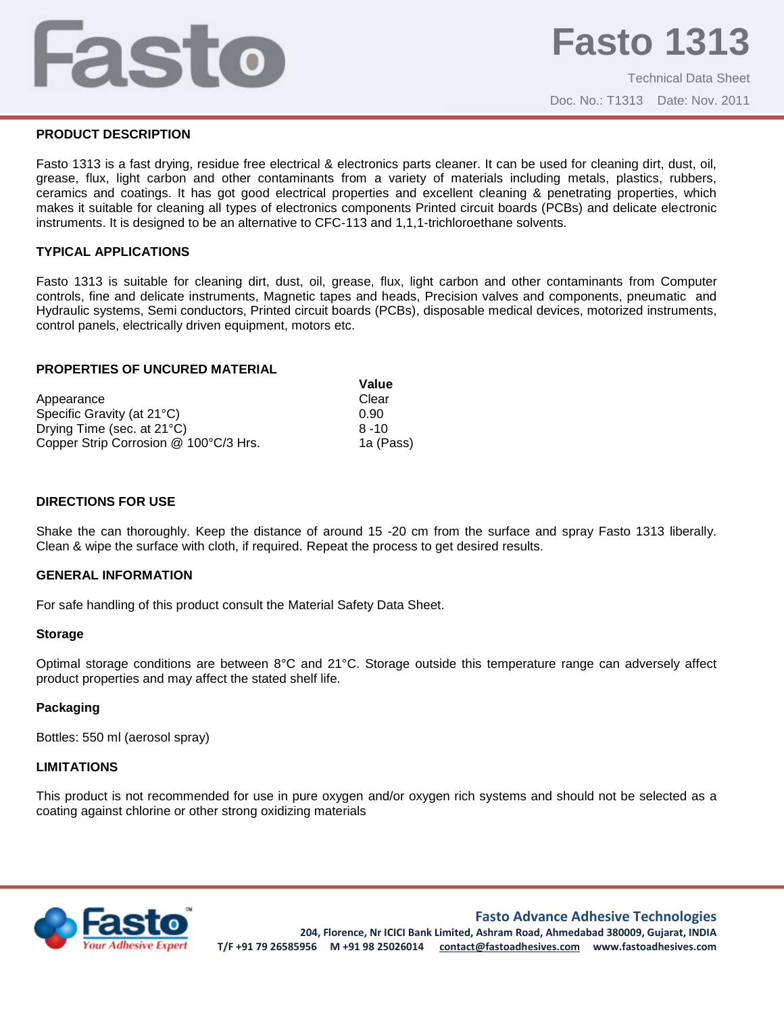# Fasto

Technical Data Sheet Doc. No.: T1313 Date: Nov. 2011

#### **PRODUCT DESCRIPTION**

Fasto 1313 is a fast drying, residue free electrical & electronics parts cleaner. It can be used for cleaning dirt, dust, oil, grease, flux, light carbon and other contaminants from a variety of materials including metals, plastics, rubbers, ceramics and coatings. It has got good electrical properties and excellent cleaning & penetrating properties, which makes it suitable for cleaning all types of electronics components Printed circuit boards (PCBs) and delicate electronic instruments. It is designed to be an alternative to CFC-113 and 1,1,1-trichloroethane solvents.

## **TYPICAL APPLICATIONS**

Fasto 1313 is suitable for cleaning dirt, dust, oil, grease, flux, light carbon and other contaminants from Computer controls, fine and delicate instruments, Magnetic tapes and heads, Precision valves and components, pneumatic and Hydraulic systems, Semi conductors, Printed circuit boards (PCBs), disposable medical devices, motorized instruments, control panels, electrically driven equipment, motors etc.

#### **PROPERTIES OF UNCURED MATERIAL**

|                                       | Value     |
|---------------------------------------|-----------|
| Appearance                            | Clear     |
| Specific Gravity (at 21°C)            | 0.90      |
| Drying Time (sec. at 21°C)            | $8 - 10$  |
| Copper Strip Corrosion @ 100°C/3 Hrs. | 1a (Pass) |

## **DIRECTIONS FOR USE**

Shake the can thoroughly. Keep the distance of around 15 -20 cm from the surface and spray Fasto 1313 liberally. Clean & wipe the surface with cloth, if required. Repeat the process to get desired results.

#### **GENERAL INFORMATION**

For safe handling of this product consult the Material Safety Data Sheet.

#### **Storage**

Optimal storage conditions are between 8°C and 21°C. Storage outside this temperature range can adversely affect product properties and may affect the stated shelf life.

#### **Packaging**

Bottles: 550 ml (aerosol spray)

#### **LIMITATIONS**

This product is not recommended for use in pure oxygen and/or oxygen rich systems and should not be selected as a coating against chlorine or other strong oxidizing materials



**Fasto Advance Adhesive Technologies**

**204, Florence, Nr ICICI Bank Limited, Ashram Road, Ahmedabad 380009, Gujarat, INDIA T/F +91 79 26585956 M +91 98 25026014 contact@fastoadhesives.com www.fastoadhesives.com**